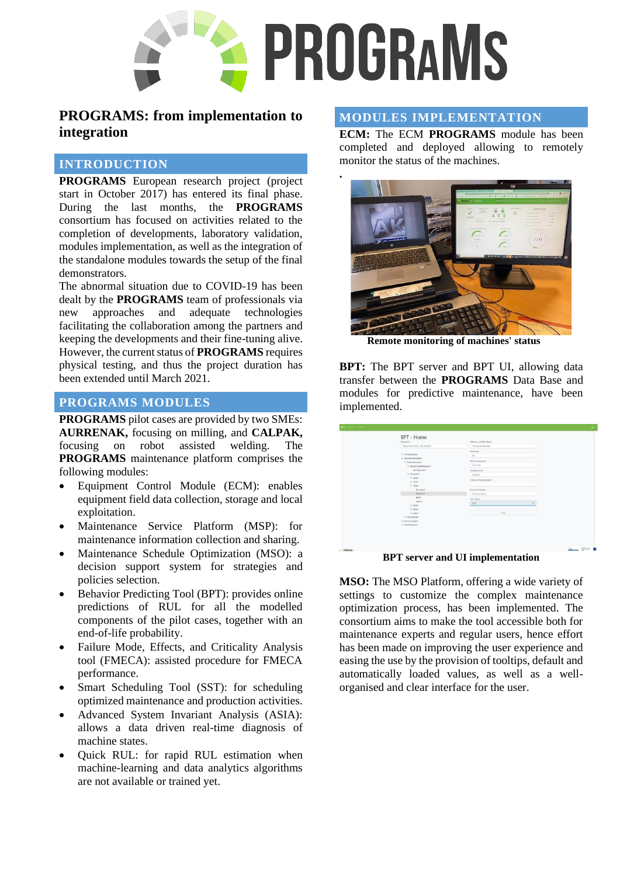

**.**

# **PROGRAMS: from implementation to integration**

## **INTRODUCTION**

**PROGRAMS** European research project (project start in October 2017) has entered its final phase. During the last months, the **PROGRAMS** consortium has focused on activities related to the completion of developments, laboratory validation, modules implementation, as well as the integration of the standalone modules towards the setup of the final demonstrators.

The abnormal situation due to COVID-19 has been dealt by the **PROGRAMS** team of professionals via new approaches and adequate technologies facilitating the collaboration among the partners and keeping the developments and their fine-tuning alive. However, the current status of **PROGRAMS** requires physical testing, and thus the project duration has been extended until March 2021.

## **PROGRAMS MODULES**

**PROGRAMS** pilot cases are provided by two SMEs: **AURRENAK,** focusing on milling, and **CALPAK,** focusing on robot assisted welding. The **PROGRAMS** maintenance platform comprises the following modules:

- Equipment Control Module (ECM): enables equipment field data collection, storage and local exploitation.
- Maintenance Service Platform (MSP): for maintenance information collection and sharing.
- Maintenance Schedule Optimization (MSO): a decision support system for strategies and policies selection.
- Behavior Predicting Tool (BPT): provides online predictions of RUL for all the modelled components of the pilot cases, together with an end-of-life probability.
- Failure Mode, Effects, and Criticality Analysis tool (FMECA): assisted procedure for FMECA performance.
- Smart Scheduling Tool (SST): for scheduling optimized maintenance and production activities.
- Advanced System Invariant Analysis (ASIA): allows a data driven real-time diagnosis of machine states.
- Quick RUL: for rapid RUL estimation when machine-learning and data analytics algorithms are not available or trained yet.

### **MODULES IMPLEMENTATION**

**ECM:** The ECM **PROGRAMS** module has been completed and deployed allowing to remotely monitor the status of the machines.



**Remote monitoring of machines' status**

**BPT:** The BPT server and BPT UI, allowing data transfer between the **PROGRAMS** Data Base and modules for predictive maintenance, have been implemented.

|  | BPT - Home<br>Equipment                                       | Affection to Health Status             |  |
|--|---------------------------------------------------------------|----------------------------------------|--|
|  | Motorian (\$1650 - \$FK,2013FD)                               | Yes, by himself data                   |  |
|  | > Fluid(System)<br>v MechinicalSystem                         | Modeling<br>hts.                       |  |
|  | $\times$ Reporting two<br>y RobotCounterbalance               | Rela of component<br>Man Tole          |  |
|  | SpringSistem<br>y RobotAss                                    | Modeling level                         |  |
|  | $>$ UAHS<br>$>1.6$ ch                                         | Gray box<br>Tuning of the component    |  |
|  | $\sim$ TArk                                                   |                                        |  |
|  | EncoderT<br>ReducerT<br>BetT<br>keaser<br>> 8AxB<br>$>$ BAsis | Source of the data<br>Sensorial system |  |
|  |                                                               | RUL (hours)<br>-8760                   |  |
|  | > 0.066<br>> Processung<br>> ElectricSystem                   | swe                                    |  |
|  | > HIVSHISystem                                                |                                        |  |
|  |                                                               |                                        |  |

**BPT server and UI implementation**

**MSO:** The MSO Platform, offering a wide variety of settings to customize the complex maintenance optimization process, has been implemented. The consortium aims to make the tool accessible both for maintenance experts and regular users, hence effort has been made on improving the user experience and easing the use by the provision of tooltips, default and automatically loaded values, as well as a wellorganised and clear interface for the user.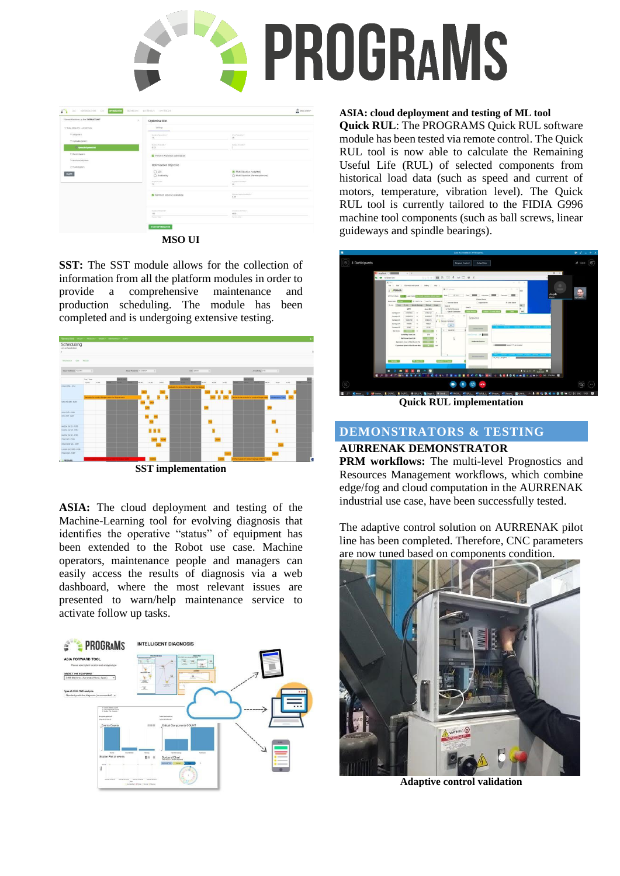

|                                       |                                                                   | $2$ MIO, USER -                                                 |
|---------------------------------------|-------------------------------------------------------------------|-----------------------------------------------------------------|
| Fibered Machines by Ine "DEFAULTLINE" | ×<br>Optimisation                                                 |                                                                 |
| ~ Fide 0096.072 - JJC XFCLZL          | Settings                                                          |                                                                 |
| > swaysters<br>- 4256-48              | Northern of Generalistics'                                        | Stille of acquisition in<br>$25 -$                              |
| Y Hytradickystem                      | 15                                                                |                                                                 |
| <b>Hydraulicitymercial</b>            | Multimed Philadelphia V<br>6.02<br>÷                              | Northern of Human V.<br>x                                       |
| > decreasure                          | FI Perform Analytical optimisation<br>11 - A 11 - A 11 - A 11 - A |                                                                 |
| > Mechancellystern                    |                                                                   |                                                                 |
| > riustosystem                        | Optimisation Objective                                            | <b>RASCHARGED</b>                                               |
| <b>CLEAR</b>                          | $O$ to:<br>C Availability                                         | Auto Objective (weighted)<br>C Multi Objective (Pareto-optimum) |
|                                       | <b>Weighted Associate</b>                                         | Perght of Andreway                                              |
|                                       | 70                                                                | $20 -$                                                          |
|                                       | Minimum required availability                                     | Versieringsted exhibits *<br>0.85                               |
|                                       |                                                                   |                                                                 |
|                                       | Soften (Chevrolet a                                               | Smalehold End Toda 5                                            |
|                                       | $150 -$<br>Auriana Value                                          | 6000<br>NAME OF GR                                              |
|                                       |                                                                   |                                                                 |
|                                       | START OPTIMISATION                                                |                                                                 |

**MSO UI**

**SST:** The SST module allows for the collection of information from all the platform modules in order to provide a comprehensive maintenance and production scheduling. The module has been completed and is undergoing extensive testing.



**SST implementation**

**ASIA:** The cloud deployment and testing of the Machine-Learning tool for evolving diagnosis that identifies the operative "status" of equipment has been extended to the Robot use case. Machine operators, maintenance people and managers can easily access the results of diagnosis via a web dashboard, where the most relevant issues are presented to warn/help maintenance service to activate follow up tasks.



#### **ASIA: cloud deployment and testing of ML tool**

**Quick RUL**: The PROGRAMS Quick RUL software module has been tested via remote control. The Quick RUL tool is now able to calculate the Remaining Useful Life (RUL) of selected components from historical load data (such as speed and current of motors, temperature, vibration level). The Quick RUL tool is currently tailored to the FIDIA G996 machine tool components (such as ball screws, linear guideways and spindle bearings).



**Quick RUL implementation**

# **DEMONSTRATORS & TESTING**

# **AURRENAK DEMONSTRATOR**

**PRM workflows:** The multi-level Prognostics and Resources Management workflows, which combine edge/fog and cloud computation in the AURRENAK industrial use case, have been successfully tested.

The adaptive control solution on AURRENAK pilot line has been completed. Therefore, CNC parameters are now tuned based on components condition.



**Adaptive control validation**